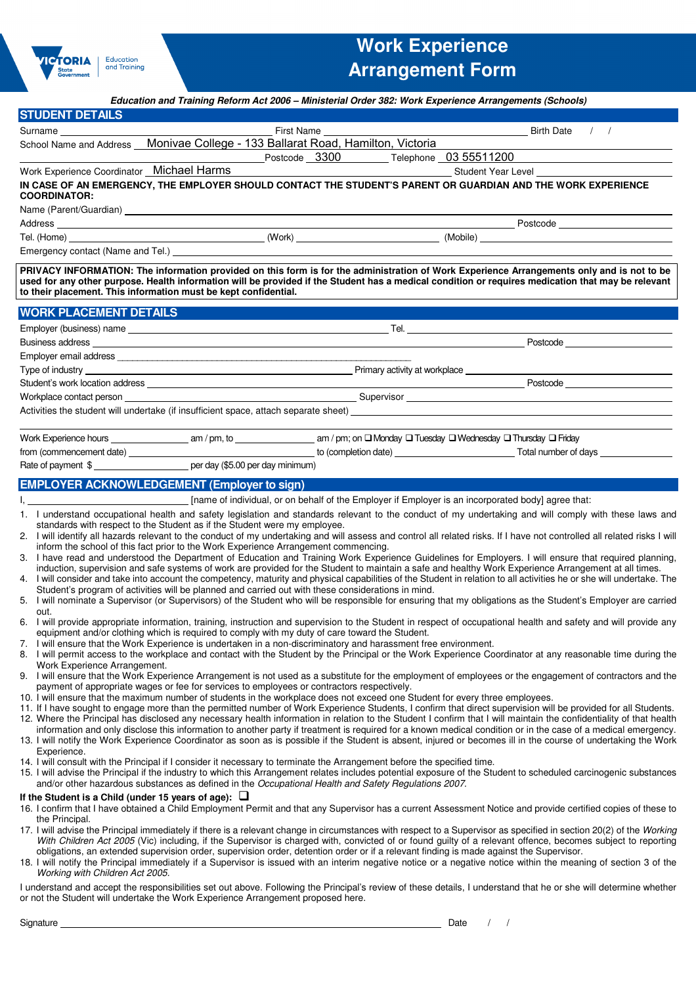

# **Work Experience Arrangement Form**

|                                                                                                                                                                                                                                                                                                                                                                                                                                                                                                                                                                                                                                                                                                                                                                                                                                                                                                                                                                                                                                                                                                                                                                                                                                                                                                                                                                                                                                                                                                                                                                                                                                                                                                                                                                                                                                                                                                                                                                                                                                                                                                                                                                                                                                                                                                                                                                                                                                                                                                                                                                                                                                                                                                                                                                                                                                                                                                                                                                                                                                                                                                                                                                                                                                                                                                                                                                                      | Education and Training Reform Act 2006 - Ministerial Order 382: Work Experience Arrangements (Schools) |  |  |  |                                                            |  |  |  |
|--------------------------------------------------------------------------------------------------------------------------------------------------------------------------------------------------------------------------------------------------------------------------------------------------------------------------------------------------------------------------------------------------------------------------------------------------------------------------------------------------------------------------------------------------------------------------------------------------------------------------------------------------------------------------------------------------------------------------------------------------------------------------------------------------------------------------------------------------------------------------------------------------------------------------------------------------------------------------------------------------------------------------------------------------------------------------------------------------------------------------------------------------------------------------------------------------------------------------------------------------------------------------------------------------------------------------------------------------------------------------------------------------------------------------------------------------------------------------------------------------------------------------------------------------------------------------------------------------------------------------------------------------------------------------------------------------------------------------------------------------------------------------------------------------------------------------------------------------------------------------------------------------------------------------------------------------------------------------------------------------------------------------------------------------------------------------------------------------------------------------------------------------------------------------------------------------------------------------------------------------------------------------------------------------------------------------------------------------------------------------------------------------------------------------------------------------------------------------------------------------------------------------------------------------------------------------------------------------------------------------------------------------------------------------------------------------------------------------------------------------------------------------------------------------------------------------------------------------------------------------------------------------------------------------------------------------------------------------------------------------------------------------------------------------------------------------------------------------------------------------------------------------------------------------------------------------------------------------------------------------------------------------------------------------------------------------------------------------------------------------------------|--------------------------------------------------------------------------------------------------------|--|--|--|------------------------------------------------------------|--|--|--|
| <b>STUDENT DETAILS</b>                                                                                                                                                                                                                                                                                                                                                                                                                                                                                                                                                                                                                                                                                                                                                                                                                                                                                                                                                                                                                                                                                                                                                                                                                                                                                                                                                                                                                                                                                                                                                                                                                                                                                                                                                                                                                                                                                                                                                                                                                                                                                                                                                                                                                                                                                                                                                                                                                                                                                                                                                                                                                                                                                                                                                                                                                                                                                                                                                                                                                                                                                                                                                                                                                                                                                                                                                               |                                                                                                        |  |  |  |                                                            |  |  |  |
| Surname <b>Example 2018</b> First Name <b>First Name</b>                                                                                                                                                                                                                                                                                                                                                                                                                                                                                                                                                                                                                                                                                                                                                                                                                                                                                                                                                                                                                                                                                                                                                                                                                                                                                                                                                                                                                                                                                                                                                                                                                                                                                                                                                                                                                                                                                                                                                                                                                                                                                                                                                                                                                                                                                                                                                                                                                                                                                                                                                                                                                                                                                                                                                                                                                                                                                                                                                                                                                                                                                                                                                                                                                                                                                                                             |                                                                                                        |  |  |  | Birth Date / /                                             |  |  |  |
| School Name and Address Monivae College - 133 Ballarat Road, Hamilton, Victoria                                                                                                                                                                                                                                                                                                                                                                                                                                                                                                                                                                                                                                                                                                                                                                                                                                                                                                                                                                                                                                                                                                                                                                                                                                                                                                                                                                                                                                                                                                                                                                                                                                                                                                                                                                                                                                                                                                                                                                                                                                                                                                                                                                                                                                                                                                                                                                                                                                                                                                                                                                                                                                                                                                                                                                                                                                                                                                                                                                                                                                                                                                                                                                                                                                                                                                      |                                                                                                        |  |  |  |                                                            |  |  |  |
|                                                                                                                                                                                                                                                                                                                                                                                                                                                                                                                                                                                                                                                                                                                                                                                                                                                                                                                                                                                                                                                                                                                                                                                                                                                                                                                                                                                                                                                                                                                                                                                                                                                                                                                                                                                                                                                                                                                                                                                                                                                                                                                                                                                                                                                                                                                                                                                                                                                                                                                                                                                                                                                                                                                                                                                                                                                                                                                                                                                                                                                                                                                                                                                                                                                                                                                                                                                      | Postcode 3300 Telephone 03 55511200                                                                    |  |  |  |                                                            |  |  |  |
| Work Experience Coordinator Michael Harms Manual Art and Student Year Level Manual Art and Michael Manual Art and Michael Manual Art and Michael Manual Art and Michael Manual Art and Michael Manual Art and Michael Michael                                                                                                                                                                                                                                                                                                                                                                                                                                                                                                                                                                                                                                                                                                                                                                                                                                                                                                                                                                                                                                                                                                                                                                                                                                                                                                                                                                                                                                                                                                                                                                                                                                                                                                                                                                                                                                                                                                                                                                                                                                                                                                                                                                                                                                                                                                                                                                                                                                                                                                                                                                                                                                                                                                                                                                                                                                                                                                                                                                                                                                                                                                                                                        |                                                                                                        |  |  |  |                                                            |  |  |  |
| IN CASE OF AN EMERGENCY, THE EMPLOYER SHOULD CONTACT THE STUDENT'S PARENT OR GUARDIAN AND THE WORK EXPERIENCE<br><b>COORDINATOR:</b>                                                                                                                                                                                                                                                                                                                                                                                                                                                                                                                                                                                                                                                                                                                                                                                                                                                                                                                                                                                                                                                                                                                                                                                                                                                                                                                                                                                                                                                                                                                                                                                                                                                                                                                                                                                                                                                                                                                                                                                                                                                                                                                                                                                                                                                                                                                                                                                                                                                                                                                                                                                                                                                                                                                                                                                                                                                                                                                                                                                                                                                                                                                                                                                                                                                 |                                                                                                        |  |  |  |                                                            |  |  |  |
|                                                                                                                                                                                                                                                                                                                                                                                                                                                                                                                                                                                                                                                                                                                                                                                                                                                                                                                                                                                                                                                                                                                                                                                                                                                                                                                                                                                                                                                                                                                                                                                                                                                                                                                                                                                                                                                                                                                                                                                                                                                                                                                                                                                                                                                                                                                                                                                                                                                                                                                                                                                                                                                                                                                                                                                                                                                                                                                                                                                                                                                                                                                                                                                                                                                                                                                                                                                      |                                                                                                        |  |  |  |                                                            |  |  |  |
|                                                                                                                                                                                                                                                                                                                                                                                                                                                                                                                                                                                                                                                                                                                                                                                                                                                                                                                                                                                                                                                                                                                                                                                                                                                                                                                                                                                                                                                                                                                                                                                                                                                                                                                                                                                                                                                                                                                                                                                                                                                                                                                                                                                                                                                                                                                                                                                                                                                                                                                                                                                                                                                                                                                                                                                                                                                                                                                                                                                                                                                                                                                                                                                                                                                                                                                                                                                      |                                                                                                        |  |  |  |                                                            |  |  |  |
|                                                                                                                                                                                                                                                                                                                                                                                                                                                                                                                                                                                                                                                                                                                                                                                                                                                                                                                                                                                                                                                                                                                                                                                                                                                                                                                                                                                                                                                                                                                                                                                                                                                                                                                                                                                                                                                                                                                                                                                                                                                                                                                                                                                                                                                                                                                                                                                                                                                                                                                                                                                                                                                                                                                                                                                                                                                                                                                                                                                                                                                                                                                                                                                                                                                                                                                                                                                      |                                                                                                        |  |  |  |                                                            |  |  |  |
|                                                                                                                                                                                                                                                                                                                                                                                                                                                                                                                                                                                                                                                                                                                                                                                                                                                                                                                                                                                                                                                                                                                                                                                                                                                                                                                                                                                                                                                                                                                                                                                                                                                                                                                                                                                                                                                                                                                                                                                                                                                                                                                                                                                                                                                                                                                                                                                                                                                                                                                                                                                                                                                                                                                                                                                                                                                                                                                                                                                                                                                                                                                                                                                                                                                                                                                                                                                      |                                                                                                        |  |  |  |                                                            |  |  |  |
| PRIVACY INFORMATION: The information provided on this form is for the administration of Work Experience Arrangements only and is not to be<br>used for any other purpose. Health information will be provided if the Student has a medical condition or requires medication that may be relevant<br>to their placement. This information must be kept confidential.                                                                                                                                                                                                                                                                                                                                                                                                                                                                                                                                                                                                                                                                                                                                                                                                                                                                                                                                                                                                                                                                                                                                                                                                                                                                                                                                                                                                                                                                                                                                                                                                                                                                                                                                                                                                                                                                                                                                                                                                                                                                                                                                                                                                                                                                                                                                                                                                                                                                                                                                                                                                                                                                                                                                                                                                                                                                                                                                                                                                                  |                                                                                                        |  |  |  |                                                            |  |  |  |
| <b>WORK PLACEMENT DETAILS</b>                                                                                                                                                                                                                                                                                                                                                                                                                                                                                                                                                                                                                                                                                                                                                                                                                                                                                                                                                                                                                                                                                                                                                                                                                                                                                                                                                                                                                                                                                                                                                                                                                                                                                                                                                                                                                                                                                                                                                                                                                                                                                                                                                                                                                                                                                                                                                                                                                                                                                                                                                                                                                                                                                                                                                                                                                                                                                                                                                                                                                                                                                                                                                                                                                                                                                                                                                        |                                                                                                        |  |  |  |                                                            |  |  |  |
|                                                                                                                                                                                                                                                                                                                                                                                                                                                                                                                                                                                                                                                                                                                                                                                                                                                                                                                                                                                                                                                                                                                                                                                                                                                                                                                                                                                                                                                                                                                                                                                                                                                                                                                                                                                                                                                                                                                                                                                                                                                                                                                                                                                                                                                                                                                                                                                                                                                                                                                                                                                                                                                                                                                                                                                                                                                                                                                                                                                                                                                                                                                                                                                                                                                                                                                                                                                      |                                                                                                        |  |  |  |                                                            |  |  |  |
|                                                                                                                                                                                                                                                                                                                                                                                                                                                                                                                                                                                                                                                                                                                                                                                                                                                                                                                                                                                                                                                                                                                                                                                                                                                                                                                                                                                                                                                                                                                                                                                                                                                                                                                                                                                                                                                                                                                                                                                                                                                                                                                                                                                                                                                                                                                                                                                                                                                                                                                                                                                                                                                                                                                                                                                                                                                                                                                                                                                                                                                                                                                                                                                                                                                                                                                                                                                      |                                                                                                        |  |  |  |                                                            |  |  |  |
|                                                                                                                                                                                                                                                                                                                                                                                                                                                                                                                                                                                                                                                                                                                                                                                                                                                                                                                                                                                                                                                                                                                                                                                                                                                                                                                                                                                                                                                                                                                                                                                                                                                                                                                                                                                                                                                                                                                                                                                                                                                                                                                                                                                                                                                                                                                                                                                                                                                                                                                                                                                                                                                                                                                                                                                                                                                                                                                                                                                                                                                                                                                                                                                                                                                                                                                                                                                      |                                                                                                        |  |  |  |                                                            |  |  |  |
|                                                                                                                                                                                                                                                                                                                                                                                                                                                                                                                                                                                                                                                                                                                                                                                                                                                                                                                                                                                                                                                                                                                                                                                                                                                                                                                                                                                                                                                                                                                                                                                                                                                                                                                                                                                                                                                                                                                                                                                                                                                                                                                                                                                                                                                                                                                                                                                                                                                                                                                                                                                                                                                                                                                                                                                                                                                                                                                                                                                                                                                                                                                                                                                                                                                                                                                                                                                      |                                                                                                        |  |  |  |                                                            |  |  |  |
|                                                                                                                                                                                                                                                                                                                                                                                                                                                                                                                                                                                                                                                                                                                                                                                                                                                                                                                                                                                                                                                                                                                                                                                                                                                                                                                                                                                                                                                                                                                                                                                                                                                                                                                                                                                                                                                                                                                                                                                                                                                                                                                                                                                                                                                                                                                                                                                                                                                                                                                                                                                                                                                                                                                                                                                                                                                                                                                                                                                                                                                                                                                                                                                                                                                                                                                                                                                      |                                                                                                        |  |  |  | $\overline{\phantom{a}}$ Postcode $\overline{\phantom{a}}$ |  |  |  |
|                                                                                                                                                                                                                                                                                                                                                                                                                                                                                                                                                                                                                                                                                                                                                                                                                                                                                                                                                                                                                                                                                                                                                                                                                                                                                                                                                                                                                                                                                                                                                                                                                                                                                                                                                                                                                                                                                                                                                                                                                                                                                                                                                                                                                                                                                                                                                                                                                                                                                                                                                                                                                                                                                                                                                                                                                                                                                                                                                                                                                                                                                                                                                                                                                                                                                                                                                                                      |                                                                                                        |  |  |  |                                                            |  |  |  |
| Activities the student will undertake (if insufficient space, attach separate sheet)                                                                                                                                                                                                                                                                                                                                                                                                                                                                                                                                                                                                                                                                                                                                                                                                                                                                                                                                                                                                                                                                                                                                                                                                                                                                                                                                                                                                                                                                                                                                                                                                                                                                                                                                                                                                                                                                                                                                                                                                                                                                                                                                                                                                                                                                                                                                                                                                                                                                                                                                                                                                                                                                                                                                                                                                                                                                                                                                                                                                                                                                                                                                                                                                                                                                                                 |                                                                                                        |  |  |  |                                                            |  |  |  |
|                                                                                                                                                                                                                                                                                                                                                                                                                                                                                                                                                                                                                                                                                                                                                                                                                                                                                                                                                                                                                                                                                                                                                                                                                                                                                                                                                                                                                                                                                                                                                                                                                                                                                                                                                                                                                                                                                                                                                                                                                                                                                                                                                                                                                                                                                                                                                                                                                                                                                                                                                                                                                                                                                                                                                                                                                                                                                                                                                                                                                                                                                                                                                                                                                                                                                                                                                                                      |                                                                                                        |  |  |  |                                                            |  |  |  |
|                                                                                                                                                                                                                                                                                                                                                                                                                                                                                                                                                                                                                                                                                                                                                                                                                                                                                                                                                                                                                                                                                                                                                                                                                                                                                                                                                                                                                                                                                                                                                                                                                                                                                                                                                                                                                                                                                                                                                                                                                                                                                                                                                                                                                                                                                                                                                                                                                                                                                                                                                                                                                                                                                                                                                                                                                                                                                                                                                                                                                                                                                                                                                                                                                                                                                                                                                                                      |                                                                                                        |  |  |  |                                                            |  |  |  |
|                                                                                                                                                                                                                                                                                                                                                                                                                                                                                                                                                                                                                                                                                                                                                                                                                                                                                                                                                                                                                                                                                                                                                                                                                                                                                                                                                                                                                                                                                                                                                                                                                                                                                                                                                                                                                                                                                                                                                                                                                                                                                                                                                                                                                                                                                                                                                                                                                                                                                                                                                                                                                                                                                                                                                                                                                                                                                                                                                                                                                                                                                                                                                                                                                                                                                                                                                                                      |                                                                                                        |  |  |  |                                                            |  |  |  |
| Rate of payment \$                                                                                                                                                                                                                                                                                                                                                                                                                                                                                                                                                                                                                                                                                                                                                                                                                                                                                                                                                                                                                                                                                                                                                                                                                                                                                                                                                                                                                                                                                                                                                                                                                                                                                                                                                                                                                                                                                                                                                                                                                                                                                                                                                                                                                                                                                                                                                                                                                                                                                                                                                                                                                                                                                                                                                                                                                                                                                                                                                                                                                                                                                                                                                                                                                                                                                                                                                                   |                                                                                                        |  |  |  |                                                            |  |  |  |
|                                                                                                                                                                                                                                                                                                                                                                                                                                                                                                                                                                                                                                                                                                                                                                                                                                                                                                                                                                                                                                                                                                                                                                                                                                                                                                                                                                                                                                                                                                                                                                                                                                                                                                                                                                                                                                                                                                                                                                                                                                                                                                                                                                                                                                                                                                                                                                                                                                                                                                                                                                                                                                                                                                                                                                                                                                                                                                                                                                                                                                                                                                                                                                                                                                                                                                                                                                                      |                                                                                                        |  |  |  |                                                            |  |  |  |
| <b>EMPLOYER ACKNOWLEDGEMENT (Employer to sign)</b>                                                                                                                                                                                                                                                                                                                                                                                                                                                                                                                                                                                                                                                                                                                                                                                                                                                                                                                                                                                                                                                                                                                                                                                                                                                                                                                                                                                                                                                                                                                                                                                                                                                                                                                                                                                                                                                                                                                                                                                                                                                                                                                                                                                                                                                                                                                                                                                                                                                                                                                                                                                                                                                                                                                                                                                                                                                                                                                                                                                                                                                                                                                                                                                                                                                                                                                                   |                                                                                                        |  |  |  |                                                            |  |  |  |
|                                                                                                                                                                                                                                                                                                                                                                                                                                                                                                                                                                                                                                                                                                                                                                                                                                                                                                                                                                                                                                                                                                                                                                                                                                                                                                                                                                                                                                                                                                                                                                                                                                                                                                                                                                                                                                                                                                                                                                                                                                                                                                                                                                                                                                                                                                                                                                                                                                                                                                                                                                                                                                                                                                                                                                                                                                                                                                                                                                                                                                                                                                                                                                                                                                                                                                                                                                                      |                                                                                                        |  |  |  |                                                            |  |  |  |
| 1. I understand occupational health and safety legislation and standards relevant to the conduct of my undertaking and will comply with these laws and<br>standards with respect to the Student as if the Student were my employee.<br>2. I will identify all hazards relevant to the conduct of my undertaking and will assess and control all related risks. If I have not controlled all related risks I will<br>inform the school of this fact prior to the Work Experience Arrangement commencing.<br>3. I have read and understood the Department of Education and Training Work Experience Guidelines for Employers. I will ensure that required planning,<br>induction, supervision and safe systems of work are provided for the Student to maintain a safe and healthy Work Experience Arrangement at all times.<br>4. I will consider and take into account the competency, maturity and physical capabilities of the Student in relation to all activities he or she will undertake. The<br>Student's program of activities will be planned and carried out with these considerations in mind.<br>5. I will nominate a Supervisor (or Supervisors) of the Student who will be responsible for ensuring that my obligations as the Student's Employer are carried<br>out.<br>I will provide appropriate information, training, instruction and supervision to the Student in respect of occupational health and safety and will provide any<br>6.<br>equipment and/or clothing which is required to comply with my duty of care toward the Student.<br>7. I will ensure that the Work Experience is undertaken in a non-discriminatory and harassment free environment.<br>8. I will permit access to the workplace and contact with the Student by the Principal or the Work Experience Coordinator at any reasonable time during the<br>Work Experience Arrangement.<br>9. I will ensure that the Work Experience Arrangement is not used as a substitute for the employment of employees or the engagement of contractors and the<br>payment of appropriate wages or fee for services to employees or contractors respectively.<br>10. I will ensure that the maximum number of students in the workplace does not exceed one Student for every three employees.<br>11. If I have sought to engage more than the permitted number of Work Experience Students, I confirm that direct supervision will be provided for all Students.<br>12. Where the Principal has disclosed any necessary health information in relation to the Student I confirm that I will maintain the confidentiality of that health<br>information and only disclose this information to another party if treatment is required for a known medical condition or in the case of a medical emergency.<br>13. I will notify the Work Experience Coordinator as soon as is possible if the Student is absent, injured or becomes ill in the course of undertaking the Work<br>Experience.<br>14. I will consult with the Principal if I consider it necessary to terminate the Arrangement before the specified time.<br>15. I will advise the Principal if the industry to which this Arrangement relates includes potential exposure of the Student to scheduled carcinogenic substances<br>and/or other hazardous substances as defined in the Occupational Health and Safety Regulations 2007. |                                                                                                        |  |  |  |                                                            |  |  |  |
| If the Student is a Child (under 15 years of age): $\Box$<br>16. I confirm that I have obtained a Child Employment Permit and that any Supervisor has a current Assessment Notice and provide certified copies of these to<br>the Principal.<br>17. I will advise the Principal immediately if there is a relevant change in circumstances with respect to a Supervisor as specified in section 20(2) of the Working<br>With Children Act 2005 (Vic) including, if the Supervisor is charged with, convicted of or found guilty of a relevant offence, becomes subject to reporting<br>obligations, an extended supervision order, supervision order, detention order or if a relevant finding is made against the Supervisor.<br>18. I will notify the Principal immediately if a Supervisor is issued with an interim negative notice or a negative notice within the meaning of section 3 of the<br>Working with Children Act 2005.                                                                                                                                                                                                                                                                                                                                                                                                                                                                                                                                                                                                                                                                                                                                                                                                                                                                                                                                                                                                                                                                                                                                                                                                                                                                                                                                                                                                                                                                                                                                                                                                                                                                                                                                                                                                                                                                                                                                                                                                                                                                                                                                                                                                                                                                                                                                                                                                                                               |                                                                                                        |  |  |  |                                                            |  |  |  |
| I understand and accept the responsibilities set out above. Following the Principal's review of these details, I understand that he or she will determine whether<br>or not the Student will undertake the Work Experience Arrangement proposed here.                                                                                                                                                                                                                                                                                                                                                                                                                                                                                                                                                                                                                                                                                                                                                                                                                                                                                                                                                                                                                                                                                                                                                                                                                                                                                                                                                                                                                                                                                                                                                                                                                                                                                                                                                                                                                                                                                                                                                                                                                                                                                                                                                                                                                                                                                                                                                                                                                                                                                                                                                                                                                                                                                                                                                                                                                                                                                                                                                                                                                                                                                                                                |                                                                                                        |  |  |  |                                                            |  |  |  |

Signature Date / /